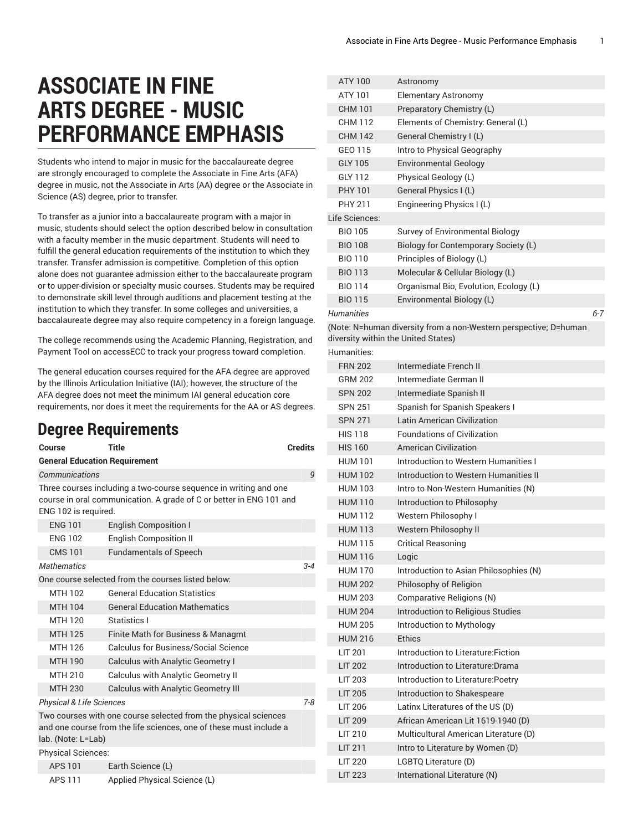## **ASSOCIATE IN FINE ARTS DEGREE - MUSIC PERFORMANCE EMPHASIS**

Students who intend to major in music for the baccalaureate degree are strongly encouraged to complete the Associate in Fine Arts (AFA) degree in music, not the Associate in Arts (AA) degree or the Associate in Science (AS) degree, prior to transfer.

To transfer as a junior into a baccalaureate program with a major in music, students should select the option described below in consultation with a faculty member in the music department. Students will need to fulfill the general education requirements of the institution to which they transfer. Transfer admission is competitive. Completion of this option alone does not guarantee admission either to the baccalaureate program or to upper-division or specialty music courses. Students may be required to demonstrate skill level through auditions and placement testing at the institution to which they transfer. In some colleges and universities, a baccalaureate degree may also require competency in a foreign language.

The college recommends using the Academic Planning, Registration, and Payment Tool on accessECC to track your progress toward completion.

The general education courses required for the AFA degree are approved by the Illinois Articulation Initiative (IAI); however, the structure of the AFA degree does not meet the minimum IAI general education core requirements, nor does it meet the requirements for the AA or AS degrees.

## **Degree Requirements**

| Course                                                                                                                                                          | Title                                       | <b>Credits</b> |  |
|-----------------------------------------------------------------------------------------------------------------------------------------------------------------|---------------------------------------------|----------------|--|
| <b>General Education Requirement</b>                                                                                                                            |                                             |                |  |
| Communications                                                                                                                                                  |                                             | 9              |  |
| Three courses including a two-course sequence in writing and one<br>course in oral communication. A grade of C or better in ENG 101 and<br>ENG 102 is required. |                                             |                |  |
| <b>ENG 101</b>                                                                                                                                                  | <b>English Composition I</b>                |                |  |
| <b>ENG 102</b>                                                                                                                                                  | <b>English Composition II</b>               |                |  |
| <b>CMS 101</b>                                                                                                                                                  | <b>Fundamentals of Speech</b>               |                |  |
| <b>Mathematics</b>                                                                                                                                              |                                             | $3 - 4$        |  |
| One course selected from the courses listed below:                                                                                                              |                                             |                |  |
| MTH 102                                                                                                                                                         | <b>General Education Statistics</b>         |                |  |
| <b>MTH 104</b>                                                                                                                                                  | <b>General Education Mathematics</b>        |                |  |
| MTH 120                                                                                                                                                         | Statistics I                                |                |  |
| <b>MTH 125</b>                                                                                                                                                  | Finite Math for Business & Managmt          |                |  |
| MTH 126                                                                                                                                                         | <b>Calculus for Business/Social Science</b> |                |  |
| <b>MTH 190</b>                                                                                                                                                  | Calculus with Analytic Geometry I           |                |  |
| MTH 210                                                                                                                                                         | <b>Calculus with Analytic Geometry II</b>   |                |  |
| <b>MTH 230</b>                                                                                                                                                  | <b>Calculus with Analytic Geometry III</b>  |                |  |
| $7 - 8$<br><b>Physical &amp; Life Sciences</b>                                                                                                                  |                                             |                |  |
| Two courses with one course selected from the physical sciences<br>and one course from the life sciences, one of these must include a<br>lab. (Note: L=Lab)     |                                             |                |  |
| <b>Physical Sciences:</b>                                                                                                                                       |                                             |                |  |
| APS 101                                                                                                                                                         | Earth Science (L)                           |                |  |

| APS 101 | Earth Science (L)            |
|---------|------------------------------|
| APS 111 | Applied Physical Science (L) |

| ATY 100        | Astronomy                              |         |
|----------------|----------------------------------------|---------|
| ATY 101        | <b>Elementary Astronomy</b>            |         |
| <b>CHM 101</b> | Preparatory Chemistry (L)              |         |
| CHM 112        | Elements of Chemistry: General (L)     |         |
| <b>CHM 142</b> | General Chemistry I (L)                |         |
| GEO 115        | Intro to Physical Geography            |         |
| GLY 105        | <b>Environmental Geology</b>           |         |
| <b>GLY 112</b> | Physical Geology (L)                   |         |
| <b>PHY 101</b> | General Physics I (L)                  |         |
| PHY 211        | Engineering Physics I (L)              |         |
| Life Sciences: |                                        |         |
| <b>BIO 105</b> | Survey of Environmental Biology        |         |
| <b>BIO 108</b> | Biology for Contemporary Society (L)   |         |
| <b>BIO 110</b> | Principles of Biology (L)              |         |
| <b>BIO 113</b> | Molecular & Cellular Biology (L)       |         |
| <b>BIO 114</b> | Organismal Bio, Evolution, Ecology (L) |         |
| <b>BIO 115</b> | Environmental Biology (L)              |         |
| Humanities     |                                        | $6 - 7$ |
|                |                                        |         |

(Note: N=human diversity from a non-Western perspective; D=human diversity within the United States)

|  | Humanities: |
|--|-------------|
|  |             |

| Intermediate French II                 |
|----------------------------------------|
| Intermediate German II                 |
| Intermediate Spanish II                |
| Spanish for Spanish Speakers I         |
| Latin American Civilization            |
| <b>Foundations of Civilization</b>     |
| American Civilization                  |
| Introduction to Western Humanities I   |
| Introduction to Western Humanities II  |
| Intro to Non-Western Humanities (N)    |
| Introduction to Philosophy             |
| Western Philosophy I                   |
| Western Philosophy II                  |
| <b>Critical Reasoning</b>              |
| Logic                                  |
| Introduction to Asian Philosophies (N) |
| Philosophy of Religion                 |
| Comparative Religions (N)              |
| Introduction to Religious Studies      |
| Introduction to Mythology              |
| <b>Fthics</b>                          |
| Introduction to Literature:Fiction     |
| Introduction to Literature: Drama      |
| Introduction to Literature: Poetry     |
| Introduction to Shakespeare            |
| Latinx Literatures of the US (D)       |
| African American Lit 1619-1940 (D)     |
| Multicultural American Literature (D)  |
| Intro to Literature by Women (D)       |
| LGBTQ Literature (D)                   |
| International Literature (N)           |
|                                        |